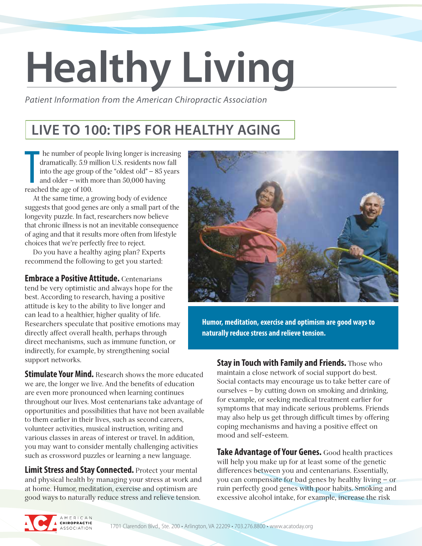# **Healthy Living**

*Patient Information from the American Chiropractic Association*

#### **LIVE TO 100: TIPS FOR HEALTHY AGING**

he number of peodramatically. 5.9 m<br>into the age group<br>and older – with n<br>reached the age of 100. he number of people living longer is increasing dramatically. 5.9 million U.S. residents now fall into the age group of the "oldest old" — 85 years and older — with more than 50,000 having

At the same time, a growing body of evidence suggests that good genes are only a small part of the longevity puzzle. In fact, researchers now believe that chronic illness is not an inevitable consequence of aging and that it results more often from lifestyle choices that we're perfectly free to reject.

Do you have a healthy aging plan? Experts recommend the following to get you started:

**Embrace a Positive Attitude.** Centenarians tend be very optimistic and always hope for the best. According to research, having a positive attitude is key to the ability to live longer and can lead to a healthier, higher quality of life. Researchers speculate that positive emotions may directly affect overall health, perhaps through direct mechanisms, such as immune function, or indirectly, for example, by strengthening social support networks.

**Stimulate Your Mind.** Research shows the more educated we are, the longer we live. And the benefits of education are even more pronounced when learning continues throughout our lives. Most centenarians take advantage of opportunities and possibilities that have not been available to them earlier in their lives, such as second careers, volunteer activities, musical instruction, writing and various classes in areas of interest or travel. In addition, you may want to consider mentally challenging activities such as crossword puzzles or learning a new language.

**Limit Stress and Stay Connected.** Protect your mental and physical health by managing your stress at work and at home. Humor, meditation, exercise and optimism are good ways to naturally reduce stress and relieve tension.



**Humor, meditation, exercise and optimism are good ways to naturally reduce stress and relieve tension.**

**Stay in Touch with Family and Friends.** Those who maintain a close network of social support do best. Social contacts may encourage us to take better care of ourselves — by cutting down on smoking and drinking, for example, or seeking medical treatment earlier for symptoms that may indicate serious problems. Friends may also help us get through difficult times by offering coping mechanisms and having a positive effect on mood and self-esteem.

**Take Advantage of Your Genes.** Good health practices will help you make up for at least some of the genetic differences between you and centenarians. Essentially, you can compensate for bad genes by healthy living — or ruin perfectly good genes with poor habits. Smoking and excessive alcohol intake, for example, increase the risk